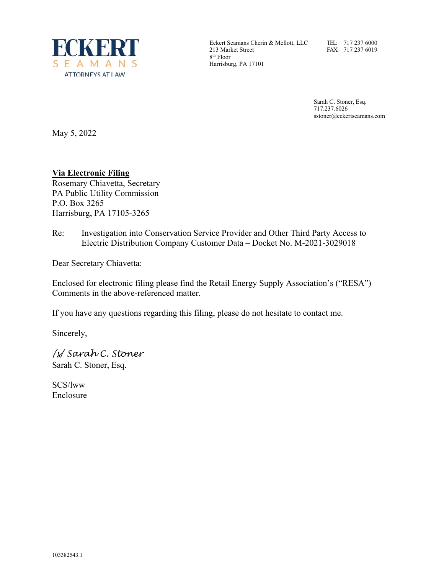

Eckert Seamans Cherin & Mellott, LLC 213 Market Street 8th Floor Harrisburg, PA 17101

TEL: 717 237 6000 FAX: 717 237 6019

Sarah C. Stoner, Esq. 717.237.6026 sstoner@eckertseamans.com

May 5, 2022

# **Via Electronic Filing**

Rosemary Chiavetta, Secretary PA Public Utility Commission P.O. Box 3265 Harrisburg, PA 17105-3265

Re: Investigation into Conservation Service Provider and Other Third Party Access to Electric Distribution Company Customer Data – Docket No. M-2021-3029018

Dear Secretary Chiavetta:

Enclosed for electronic filing please find the Retail Energy Supply Association's ("RESA") Comments in the above-referenced matter.

If you have any questions regarding this filing, please do not hesitate to contact me.

Sincerely,

/s/ Sarah C. Stoner Sarah C. Stoner, Esq.

SCS/lww Enclosure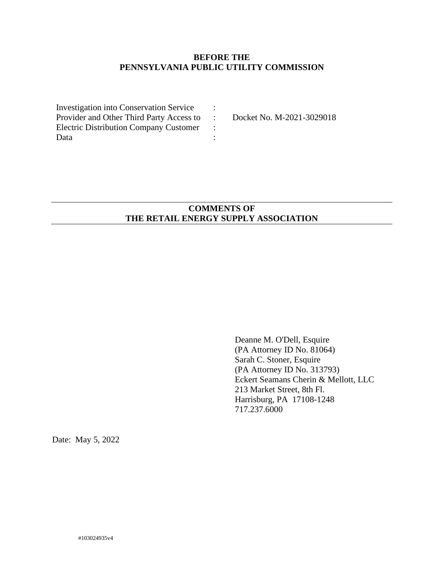## **BEFORE THE PENNSYLVANIA PUBLIC UTILITY COMMISSION**

| <b>Investigation into Conservation Service</b> |  |
|------------------------------------------------|--|
| Provider and Other Third Party Access to       |  |
| <b>Electric Distribution Company Customer</b>  |  |
| Data                                           |  |

Docket No. M-2021-3029018

## **COMMENTS OF THE RETAIL ENERGY SUPPLY ASSOCIATION**

Deanne M. O'Dell, Esquire (PA Attorney ID No. 81064) Sarah C. Stoner, Esquire (PA Attorney ID No. 313793) Eckert Seamans Cherin & Mellott, LLC 213 Market Street, 8th Fl. Harrisburg, PA 17108-1248 717.237.6000

Date: May 5, 2022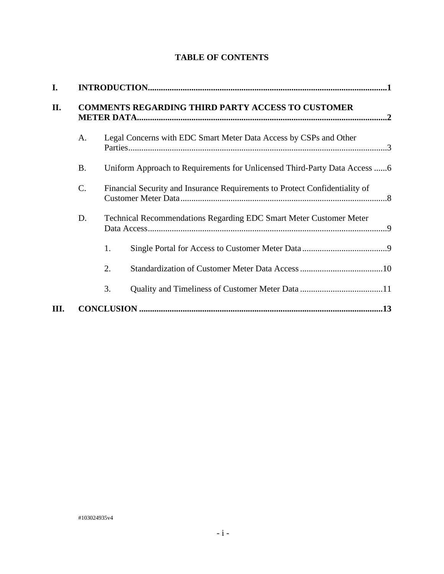|  | <b>TABLE OF CONTENTS</b> |
|--|--------------------------|
|--|--------------------------|

| I.  |           |                                                                             |  |
|-----|-----------|-----------------------------------------------------------------------------|--|
| II. |           | <b>COMMENTS REGARDING THIRD PARTY ACCESS TO CUSTOMER</b>                    |  |
|     | A.        | Legal Concerns with EDC Smart Meter Data Access by CSPs and Other           |  |
|     | <b>B.</b> |                                                                             |  |
|     | C.        | Financial Security and Insurance Requirements to Protect Confidentiality of |  |
|     | D.        | Technical Recommendations Regarding EDC Smart Meter Customer Meter          |  |
|     |           | 1.                                                                          |  |
|     |           | 2.                                                                          |  |
|     |           | 3.                                                                          |  |
| Ш.  |           |                                                                             |  |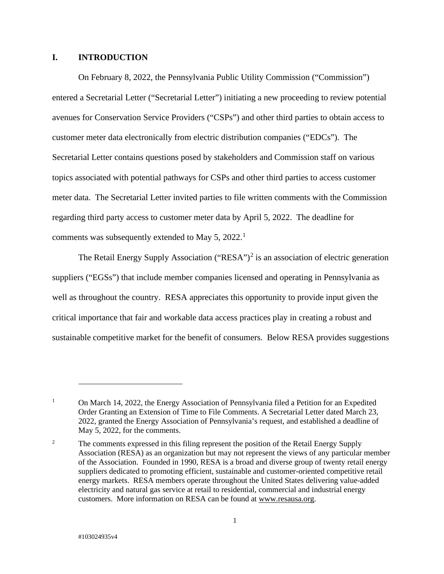### **I. INTRODUCTION**

On February 8, 2022, the Pennsylvania Public Utility Commission ("Commission") entered a Secretarial Letter ("Secretarial Letter") initiating a new proceeding to review potential avenues for Conservation Service Providers ("CSPs") and other third parties to obtain access to customer meter data electronically from electric distribution companies ("EDCs"). The Secretarial Letter contains questions posed by stakeholders and Commission staff on various topics associated with potential pathways for CSPs and other third parties to access customer meter data. The Secretarial Letter invited parties to file written comments with the Commission regarding third party access to customer meter data by April 5, 2022. The deadline for comments was subsequently extended to May 5, 2022.<sup>[1](#page-3-0)</sup>

The Retail Energy Supply Association ("RESA")<sup>[2](#page-3-1)</sup> is an association of electric generation suppliers ("EGSs") that include member companies licensed and operating in Pennsylvania as well as throughout the country. RESA appreciates this opportunity to provide input given the critical importance that fair and workable data access practices play in creating a robust and sustainable competitive market for the benefit of consumers. Below RESA provides suggestions

<span id="page-3-0"></span><sup>&</sup>lt;sup>1</sup> On March 14, 2022, the Energy Association of Pennsylvania filed a Petition for an Expedited Order Granting an Extension of Time to File Comments. A Secretarial Letter dated March 23, 2022, granted the Energy Association of Pennsylvania's request, and established a deadline of May 5, 2022, for the comments.

<span id="page-3-1"></span><sup>&</sup>lt;sup>2</sup> The comments expressed in this filing represent the position of the Retail Energy Supply Association (RESA) as an organization but may not represent the views of any particular member of the Association. Founded in 1990, RESA is a broad and diverse group of twenty retail energy suppliers dedicated to promoting efficient, sustainable and customer-oriented competitive retail energy markets. RESA members operate throughout the United States delivering value-added electricity and natural gas service at retail to residential, commercial and industrial energy customers. More information on RESA can be found at [www.resausa.org.](http://www.resausa.org/)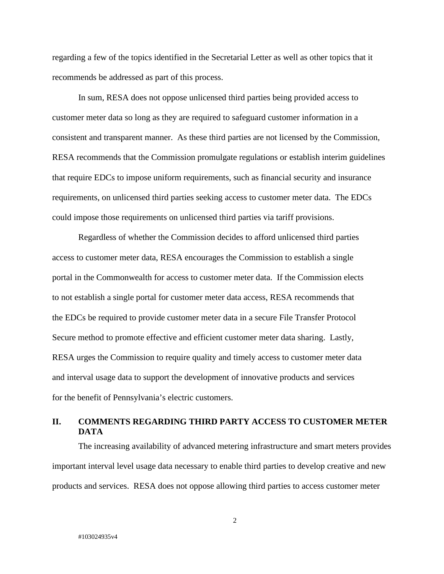regarding a few of the topics identified in the Secretarial Letter as well as other topics that it recommends be addressed as part of this process.

In sum, RESA does not oppose unlicensed third parties being provided access to customer meter data so long as they are required to safeguard customer information in a consistent and transparent manner. As these third parties are not licensed by the Commission, RESA recommends that the Commission promulgate regulations or establish interim guidelines that require EDCs to impose uniform requirements, such as financial security and insurance requirements, on unlicensed third parties seeking access to customer meter data. The EDCs could impose those requirements on unlicensed third parties via tariff provisions.

Regardless of whether the Commission decides to afford unlicensed third parties access to customer meter data, RESA encourages the Commission to establish a single portal in the Commonwealth for access to customer meter data. If the Commission elects to not establish a single portal for customer meter data access, RESA recommends that the EDCs be required to provide customer meter data in a secure File Transfer Protocol Secure method to promote effective and efficient customer meter data sharing. Lastly, RESA urges the Commission to require quality and timely access to customer meter data and interval usage data to support the development of innovative products and services for the benefit of Pennsylvania's electric customers.

# **II. COMMENTS REGARDING THIRD PARTY ACCESS TO CUSTOMER METER DATA**

The increasing availability of advanced metering infrastructure and smart meters provides important interval level usage data necessary to enable third parties to develop creative and new products and services. RESA does not oppose allowing third parties to access customer meter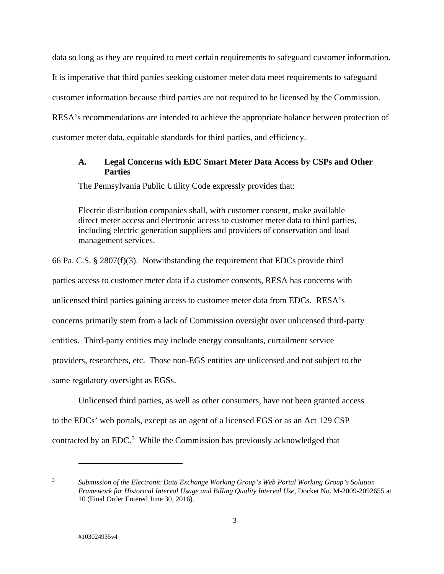data so long as they are required to meet certain requirements to safeguard customer information. It is imperative that third parties seeking customer meter data meet requirements to safeguard customer information because third parties are not required to be licensed by the Commission. RESA's recommendations are intended to achieve the appropriate balance between protection of customer meter data, equitable standards for third parties, and efficiency.

### **A. Legal Concerns with EDC Smart Meter Data Access by CSPs and Other Parties**

The Pennsylvania Public Utility Code expressly provides that:

Electric distribution companies shall, with customer consent, make available direct meter access and electronic access to customer meter data to third parties, including electric generation suppliers and providers of conservation and load management services.

66 Pa. C.S. § 2807(f)(3). Notwithstanding the requirement that EDCs provide third parties access to customer meter data if a customer consents, RESA has concerns with unlicensed third parties gaining access to customer meter data from EDCs. RESA's concerns primarily stem from a lack of Commission oversight over unlicensed third-party entities. Third-party entities may include energy consultants, curtailment service providers, researchers, etc. Those non-EGS entities are unlicensed and not subject to the same regulatory oversight as EGSs.

Unlicensed third parties, as well as other consumers, have not been granted access to the EDCs' web portals, except as an agent of a licensed EGS or as an Act 129 CSP contracted by an EDC.<sup>[3](#page-5-0)</sup> While the Commission has previously acknowledged that

<span id="page-5-0"></span><sup>3</sup> *Submission of the Electronic Data Exchange Working Group's Web Portal Working Group's Solution Framework for Historical Interval Usage and Billing Quality Interval Use*, Docket No. M-2009-2092655 at 10 (Final Order Entered June 30, 2016).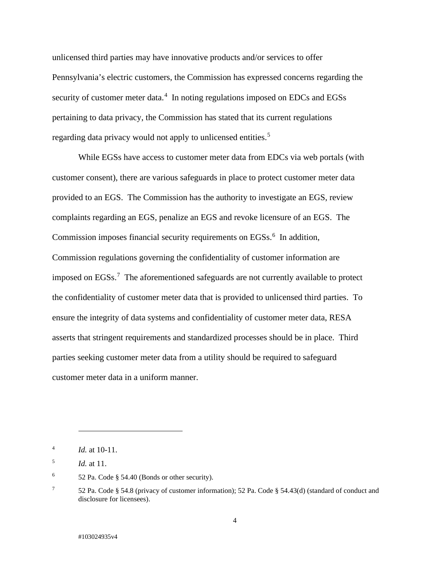unlicensed third parties may have innovative products and/or services to offer Pennsylvania's electric customers, the Commission has expressed concerns regarding the security of customer meter data.<sup>[4](#page-6-0)</sup> In noting regulations imposed on EDCs and EGSs pertaining to data privacy, the Commission has stated that its current regulations regarding data privacy would not apply to unlicensed entities.<sup>[5](#page-6-1)</sup>

While EGSs have access to customer meter data from EDCs via web portals (with customer consent), there are various safeguards in place to protect customer meter data provided to an EGS. The Commission has the authority to investigate an EGS, review complaints regarding an EGS, penalize an EGS and revoke licensure of an EGS. The Commission imposes financial security requirements on EGSs.<sup>[6](#page-6-2)</sup> In addition, Commission regulations governing the confidentiality of customer information are imposed on EGSs.<sup>[7](#page-6-3)</sup> The aforementioned safeguards are not currently available to protect the confidentiality of customer meter data that is provided to unlicensed third parties. To ensure the integrity of data systems and confidentiality of customer meter data, RESA asserts that stringent requirements and standardized processes should be in place. Third parties seeking customer meter data from a utility should be required to safeguard customer meter data in a uniform manner.

<span id="page-6-0"></span><sup>4</sup> *Id.* at 10-11.

<span id="page-6-1"></span><sup>5</sup> *Id.* at 11.

<span id="page-6-2"></span> $6$  52 Pa. Code § 54.40 (Bonds or other security).

<span id="page-6-3"></span><sup>7</sup> 52 Pa. Code § 54.8 (privacy of customer information); 52 Pa. Code § 54.43(d) (standard of conduct and disclosure for licensees).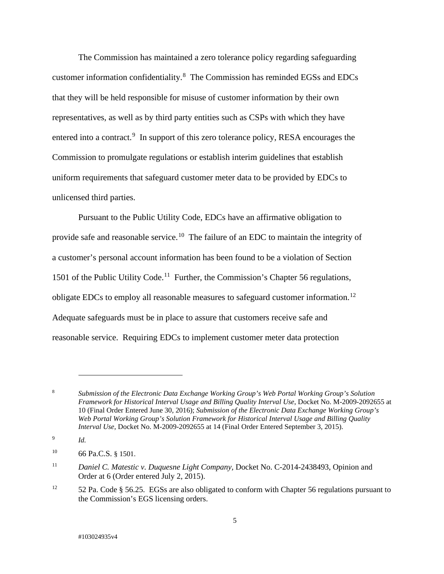The Commission has maintained a zero tolerance policy regarding safeguarding customer information confidentiality.[8](#page-7-0) The Commission has reminded EGSs and EDCs that they will be held responsible for misuse of customer information by their own representatives, as well as by third party entities such as CSPs with which they have entered into a contract.<sup>[9](#page-7-1)</sup> In support of this zero tolerance policy, RESA encourages the Commission to promulgate regulations or establish interim guidelines that establish uniform requirements that safeguard customer meter data to be provided by EDCs to unlicensed third parties.

Pursuant to the Public Utility Code, EDCs have an affirmative obligation to provide safe and reasonable service.<sup>[10](#page-7-2)</sup> The failure of an EDC to maintain the integrity of a customer's personal account information has been found to be a violation of Section 1501 of the Public Utility Code.<sup>11</sup> Further, the Commission's Chapter 56 regulations, obligate EDCs to employ all reasonable measures to safeguard customer information.[12](#page-7-4)  Adequate safeguards must be in place to assure that customers receive safe and reasonable service. Requiring EDCs to implement customer meter data protection

<span id="page-7-0"></span><sup>8</sup> *Submission of the Electronic Data Exchange Working Group's Web Portal Working Group's Solution Framework for Historical Interval Usage and Billing Quality Interval Use*, Docket No. M-2009-2092655 at 10 (Final Order Entered June 30, 2016); *Submission of the Electronic Data Exchange Working Group's Web Portal Working Group's Solution Framework for Historical Interval Usage and Billing Quality Interval Use*, Docket No. M-2009-2092655 at 14 (Final Order Entered September 3, 2015).

<span id="page-7-1"></span><sup>9</sup> *Id.*

<span id="page-7-2"></span><sup>10</sup> 66 Pa.C.S. § 1501.

<span id="page-7-3"></span><sup>&</sup>lt;sup>11</sup> *Daniel C. Matestic v. Duquesne Light Company, Docket No. C-2014-2438493, Opinion and* Order at 6 (Order entered July 2, 2015).

<span id="page-7-4"></span><sup>&</sup>lt;sup>12</sup> 52 Pa. Code § 56.25. EGSs are also obligated to conform with Chapter 56 regulations pursuant to the Commission's EGS licensing orders.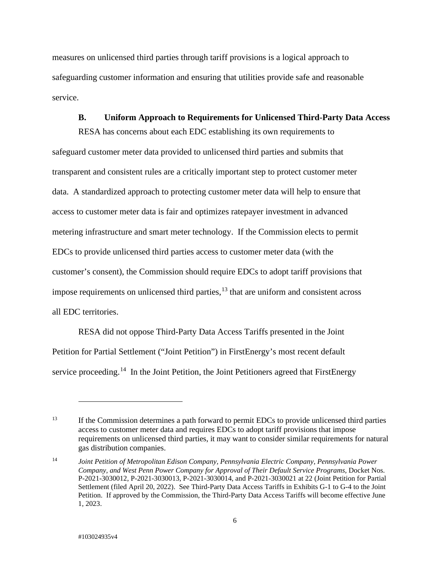measures on unlicensed third parties through tariff provisions is a logical approach to safeguarding customer information and ensuring that utilities provide safe and reasonable service.

#### **B. Uniform Approach to Requirements for Unlicensed Third-Party Data Access**

RESA has concerns about each EDC establishing its own requirements to safeguard customer meter data provided to unlicensed third parties and submits that transparent and consistent rules are a critically important step to protect customer meter data. A standardized approach to protecting customer meter data will help to ensure that access to customer meter data is fair and optimizes ratepayer investment in advanced metering infrastructure and smart meter technology. If the Commission elects to permit EDCs to provide unlicensed third parties access to customer meter data (with the customer's consent), the Commission should require EDCs to adopt tariff provisions that impose requirements on unlicensed third parties, [13](#page-8-0) that are uniform and consistent across all EDC territories.

RESA did not oppose Third-Party Data Access Tariffs presented in the Joint Petition for Partial Settlement ("Joint Petition") in FirstEnergy's most recent default service proceeding.<sup>[14](#page-8-1)</sup> In the Joint Petition, the Joint Petitioners agreed that FirstEnergy

<span id="page-8-0"></span><sup>&</sup>lt;sup>13</sup> If the Commission determines a path forward to permit EDCs to provide unlicensed third parties access to customer meter data and requires EDCs to adopt tariff provisions that impose requirements on unlicensed third parties, it may want to consider similar requirements for natural gas distribution companies.

<span id="page-8-1"></span><sup>14</sup> *Joint Petition of Metropolitan Edison Company, Pennsylvania Electric Company, Pennsylvania Power Company, and West Penn Power Company for Approval of Their Default Service Programs,* Docket Nos. P-2021-3030012, P-2021-3030013, P-2021-3030014, and P-2021-3030021 at 22 (Joint Petition for Partial Settlement (filed April 20, 2022). See Third-Party Data Access Tariffs in Exhibits G-1 to G-4 to the Joint Petition. If approved by the Commission, the Third-Party Data Access Tariffs will become effective June 1, 2023.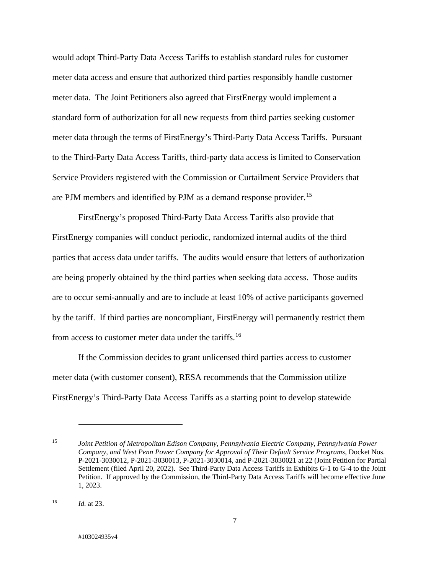would adopt Third-Party Data Access Tariffs to establish standard rules for customer meter data access and ensure that authorized third parties responsibly handle customer meter data. The Joint Petitioners also agreed that FirstEnergy would implement a standard form of authorization for all new requests from third parties seeking customer meter data through the terms of FirstEnergy's Third-Party Data Access Tariffs. Pursuant to the Third-Party Data Access Tariffs, third-party data access is limited to Conservation Service Providers registered with the Commission or Curtailment Service Providers that are PJM members and identified by PJM as a demand response provider.<sup>[15](#page-9-0)</sup>

FirstEnergy's proposed Third-Party Data Access Tariffs also provide that FirstEnergy companies will conduct periodic, randomized internal audits of the third parties that access data under tariffs. The audits would ensure that letters of authorization are being properly obtained by the third parties when seeking data access. Those audits are to occur semi-annually and are to include at least 10% of active participants governed by the tariff. If third parties are noncompliant, FirstEnergy will permanently restrict them from access to customer meter data under the tariffs.<sup>16</sup>

If the Commission decides to grant unlicensed third parties access to customer meter data (with customer consent), RESA recommends that the Commission utilize FirstEnergy's Third-Party Data Access Tariffs as a starting point to develop statewide

<span id="page-9-0"></span><sup>15</sup> *Joint Petition of Metropolitan Edison Company, Pennsylvania Electric Company, Pennsylvania Power Company, and West Penn Power Company for Approval of Their Default Service Programs,* Docket Nos. P-2021-3030012, P-2021-3030013, P-2021-3030014, and P-2021-3030021 at 22 (Joint Petition for Partial Settlement (filed April 20, 2022). See Third-Party Data Access Tariffs in Exhibits G-1 to G-4 to the Joint Petition. If approved by the Commission, the Third-Party Data Access Tariffs will become effective June 1, 2023.

<span id="page-9-1"></span><sup>16</sup> *Id.* at 23.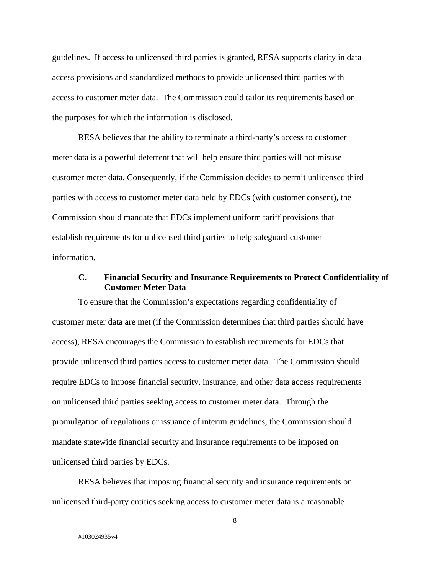guidelines. If access to unlicensed third parties is granted, RESA supports clarity in data access provisions and standardized methods to provide unlicensed third parties with access to customer meter data. The Commission could tailor its requirements based on the purposes for which the information is disclosed.

RESA believes that the ability to terminate a third-party's access to customer meter data is a powerful deterrent that will help ensure third parties will not misuse customer meter data. Consequently, if the Commission decides to permit unlicensed third parties with access to customer meter data held by EDCs (with customer consent), the Commission should mandate that EDCs implement uniform tariff provisions that establish requirements for unlicensed third parties to help safeguard customer information.

### **C. Financial Security and Insurance Requirements to Protect Confidentiality of Customer Meter Data**

To ensure that the Commission's expectations regarding confidentiality of customer meter data are met (if the Commission determines that third parties should have access), RESA encourages the Commission to establish requirements for EDCs that provide unlicensed third parties access to customer meter data. The Commission should require EDCs to impose financial security, insurance, and other data access requirements on unlicensed third parties seeking access to customer meter data. Through the promulgation of regulations or issuance of interim guidelines, the Commission should mandate statewide financial security and insurance requirements to be imposed on unlicensed third parties by EDCs.

RESA believes that imposing financial security and insurance requirements on unlicensed third-party entities seeking access to customer meter data is a reasonable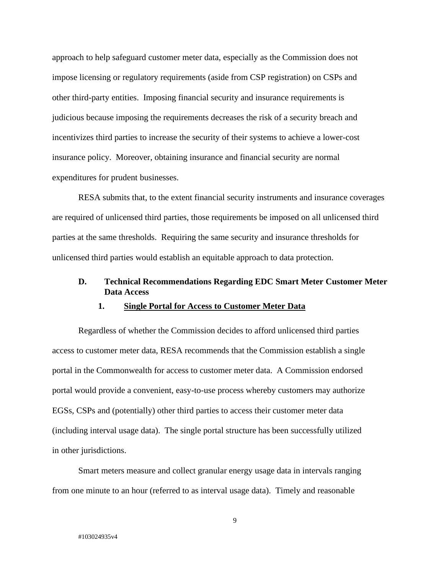approach to help safeguard customer meter data, especially as the Commission does not impose licensing or regulatory requirements (aside from CSP registration) on CSPs and other third-party entities. Imposing financial security and insurance requirements is judicious because imposing the requirements decreases the risk of a security breach and incentivizes third parties to increase the security of their systems to achieve a lower-cost insurance policy. Moreover, obtaining insurance and financial security are normal expenditures for prudent businesses.

RESA submits that, to the extent financial security instruments and insurance coverages are required of unlicensed third parties, those requirements be imposed on all unlicensed third parties at the same thresholds. Requiring the same security and insurance thresholds for unlicensed third parties would establish an equitable approach to data protection.

### **D. Technical Recommendations Regarding EDC Smart Meter Customer Meter Data Access**

#### **1. Single Portal for Access to Customer Meter Data**

Regardless of whether the Commission decides to afford unlicensed third parties access to customer meter data, RESA recommends that the Commission establish a single portal in the Commonwealth for access to customer meter data. A Commission endorsed portal would provide a convenient, easy-to-use process whereby customers may authorize EGSs, CSPs and (potentially) other third parties to access their customer meter data (including interval usage data). The single portal structure has been successfully utilized in other jurisdictions.

Smart meters measure and collect granular energy usage data in intervals ranging from one minute to an hour (referred to as interval usage data). Timely and reasonable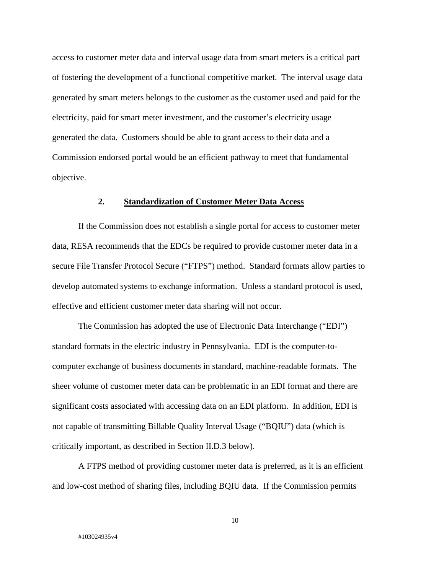access to customer meter data and interval usage data from smart meters is a critical part of fostering the development of a functional competitive market. The interval usage data generated by smart meters belongs to the customer as the customer used and paid for the electricity, paid for smart meter investment, and the customer's electricity usage generated the data. Customers should be able to grant access to their data and a Commission endorsed portal would be an efficient pathway to meet that fundamental objective.

#### **2. Standardization of Customer Meter Data Access**

If the Commission does not establish a single portal for access to customer meter data, RESA recommends that the EDCs be required to provide customer meter data in a secure File Transfer Protocol Secure ("FTPS") method. Standard formats allow parties to develop automated systems to exchange information. Unless a standard protocol is used, effective and efficient customer meter data sharing will not occur.

The Commission has adopted the use of Electronic Data Interchange ("EDI") standard formats in the electric industry in Pennsylvania. EDI is the computer-tocomputer exchange of business documents in standard, machine-readable formats. The sheer volume of customer meter data can be problematic in an EDI format and there are significant costs associated with accessing data on an EDI platform. In addition, EDI is not capable of transmitting Billable Quality Interval Usage ("BQIU") data (which is critically important, as described in Section II.D.3 below).

A FTPS method of providing customer meter data is preferred, as it is an efficient and low-cost method of sharing files, including BQIU data. If the Commission permits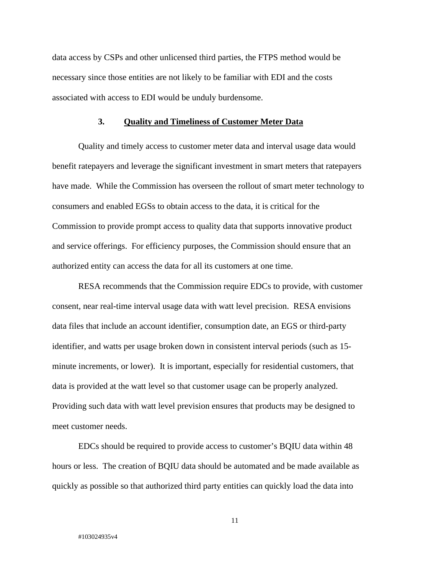data access by CSPs and other unlicensed third parties, the FTPS method would be necessary since those entities are not likely to be familiar with EDI and the costs associated with access to EDI would be unduly burdensome.

#### **3. Quality and Timeliness of Customer Meter Data**

Quality and timely access to customer meter data and interval usage data would benefit ratepayers and leverage the significant investment in smart meters that ratepayers have made. While the Commission has overseen the rollout of smart meter technology to consumers and enabled EGSs to obtain access to the data, it is critical for the Commission to provide prompt access to quality data that supports innovative product and service offerings. For efficiency purposes, the Commission should ensure that an authorized entity can access the data for all its customers at one time.

RESA recommends that the Commission require EDCs to provide, with customer consent, near real-time interval usage data with watt level precision. RESA envisions data files that include an account identifier, consumption date, an EGS or third-party identifier, and watts per usage broken down in consistent interval periods (such as 15 minute increments, or lower). It is important, especially for residential customers, that data is provided at the watt level so that customer usage can be properly analyzed. Providing such data with watt level prevision ensures that products may be designed to meet customer needs.

EDCs should be required to provide access to customer's BQIU data within 48 hours or less. The creation of BQIU data should be automated and be made available as quickly as possible so that authorized third party entities can quickly load the data into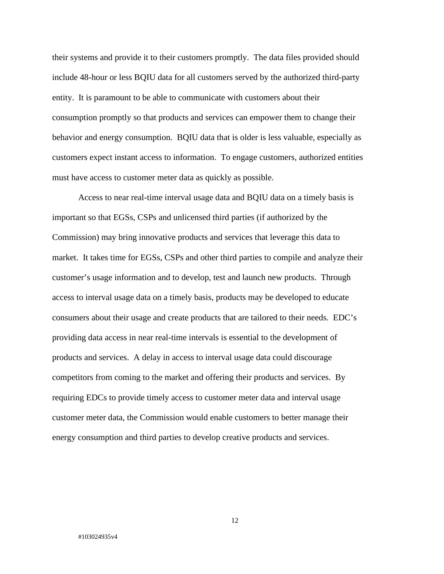their systems and provide it to their customers promptly. The data files provided should include 48-hour or less BQIU data for all customers served by the authorized third-party entity. It is paramount to be able to communicate with customers about their consumption promptly so that products and services can empower them to change their behavior and energy consumption. BQIU data that is older is less valuable, especially as customers expect instant access to information. To engage customers, authorized entities must have access to customer meter data as quickly as possible.

Access to near real-time interval usage data and BQIU data on a timely basis is important so that EGSs, CSPs and unlicensed third parties (if authorized by the Commission) may bring innovative products and services that leverage this data to market. It takes time for EGSs, CSPs and other third parties to compile and analyze their customer's usage information and to develop, test and launch new products. Through access to interval usage data on a timely basis, products may be developed to educate consumers about their usage and create products that are tailored to their needs. EDC's providing data access in near real-time intervals is essential to the development of products and services. A delay in access to interval usage data could discourage competitors from coming to the market and offering their products and services. By requiring EDCs to provide timely access to customer meter data and interval usage customer meter data, the Commission would enable customers to better manage their energy consumption and third parties to develop creative products and services.